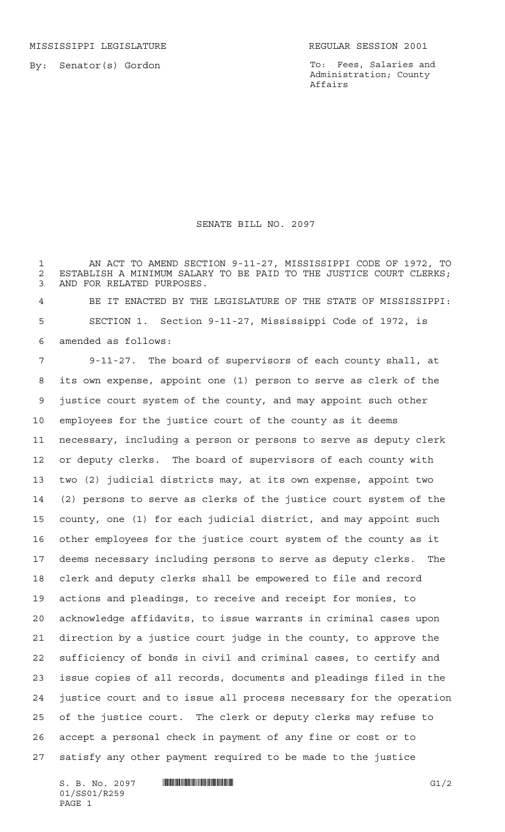MISSISSIPPI LEGISLATURE **REGULAR SESSION 2001** 

By: Senator(s) Gordon

To: Fees, Salaries and Administration; County Affairs

SENATE BILL NO. 2097

 AN ACT TO AMEND SECTION 9-11-27, MISSISSIPPI CODE OF 1972, TO 2 ESTABLISH A MINIMUM SALARY TO BE PAID TO THE JUSTICE COURT CLERKS; AND FOR RELATED PURPOSES.

 BE IT ENACTED BY THE LEGISLATURE OF THE STATE OF MISSISSIPPI: SECTION 1. Section 9-11-27, Mississippi Code of 1972, is amended as follows:

 9-11-27. The board of supervisors of each county shall, at its own expense, appoint one (1) person to serve as clerk of the justice court system of the county, and may appoint such other employees for the justice court of the county as it deems necessary, including a person or persons to serve as deputy clerk or deputy clerks. The board of supervisors of each county with two (2) judicial districts may, at its own expense, appoint two (2) persons to serve as clerks of the justice court system of the county, one (1) for each judicial district, and may appoint such other employees for the justice court system of the county as it deems necessary including persons to serve as deputy clerks. The clerk and deputy clerks shall be empowered to file and record actions and pleadings, to receive and receipt for monies, to acknowledge affidavits, to issue warrants in criminal cases upon direction by a justice court judge in the county, to approve the sufficiency of bonds in civil and criminal cases, to certify and issue copies of all records, documents and pleadings filed in the justice court and to issue all process necessary for the operation of the justice court. The clerk or deputy clerks may refuse to accept a personal check in payment of any fine or cost or to satisfy any other payment required to be made to the justice

 $S. B. No. 2097$   $\blacksquare$   $\blacksquare$   $\blacksquare$   $\blacksquare$   $\blacksquare$   $\blacksquare$   $\blacksquare$   $\blacksquare$ 01/SS01/R259 PAGE 1